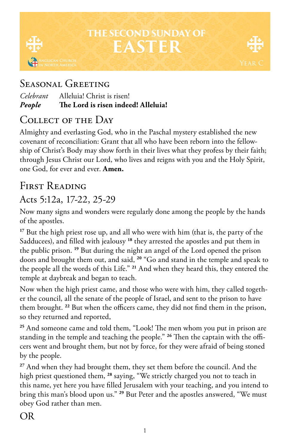# **THE SECOND SUNDAY OF EASTER**



### SEASONAL GREETING

| The Lord is risen indeed! Alleluia! |
|-------------------------------------|
| Alleluia! Christ is risen!          |
|                                     |

### Collect of the Day

Almighty and everlasting God, who in the Paschal mystery established the new covenant of reconciliation: Grant that all who have been reborn into the fellowship of Christ's Body may show forth in their lives what they profess by their faith; through Jesus Christ our Lord, who lives and reigns with you and the Holy Spirit, one God, for ever and ever. **Amen.**

### FIRST READING

#### Acts 5:12a, 17-22, 25-29

Now many signs and wonders were regularly done among the people by the hands of the apostles.

**<sup>17</sup>** But the high priest rose up, and all who were with him (that is, the party of the Sadducees), and filled with jealousy **<sup>18</sup>** they arrested the apostles and put them in the public prison. **<sup>19</sup>** But during the night an angel of the Lord opened the prison doors and brought them out, and said, **<sup>20</sup>** "Go and stand in the temple and speak to the people all the words of this Life." **<sup>21</sup>** And when they heard this, they entered the temple at daybreak and began to teach.

Now when the high priest came, and those who were with him, they called together the council, all the senate of the people of Israel, and sent to the prison to have them brought. **<sup>22</sup>** But when the officers came, they did not find them in the prison, so they returned and reported,

**<sup>25</sup>** And someone came and told them, "Look! The men whom you put in prison are standing in the temple and teaching the people." **26** Then the captain with the officers went and brought them, but not by force, for they were afraid of being stoned by the people.

**<sup>27</sup>** And when they had brought them, they set them before the council. And the high priest questioned them, **<sup>28</sup>** saying, "We strictly charged you not to teach in this name, yet here you have filled Jerusalem with your teaching, and you intend to bring this man's blood upon us." **<sup>29</sup>** But Peter and the apostles answered, "We must obey God rather than men.

### OR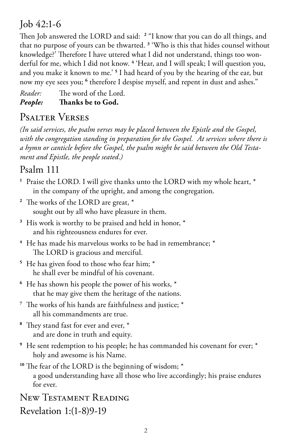### Job 42:1-6

Then Job answered the LORD and said: **<sup>2</sup>** "I know that you can do all things, and that no purpose of yours can be thwarted. **<sup>3</sup>** 'Who is this that hides counsel without knowledge?' Therefore I have uttered what I did not understand, things too wonderful for me, which I did not know. **<sup>4</sup>** 'Hear, and I will speak; I will question you, and you make it known to me.' **<sup>5</sup>** I had heard of you by the hearing of the ear, but now my eye sees you; <sup>6</sup> therefore I despise myself, and repent in dust and ashes."

*Reader:* The word of the Lord. *People:* **Thanks be to God.** 

## Psalter Verses

*(In said services, the psalm verses may be placed between the Epistle and the Gospel, with the congregation standing in preparation for the Gospel. At services where there is a hymn or canticle before the Gospel, the psalm might be said between the Old Testament and Epistle, the people seated.)*

#### Psalm 111

- **<sup>1</sup>** Praise the LORD. I will give thanks unto the LORD with my whole heart, \* in the company of the upright, and among the congregation.
- **<sup>2</sup>** The works of the LORD are great, \* sought out by all who have pleasure in them.
- **<sup>3</sup>** His work is worthy to be praised and held in honor, \* and his righteousness endures for ever.
- **<sup>4</sup>** He has made his marvelous works to be had in remembrance; \* The LORD is gracious and merciful.
- **<sup>5</sup>** He has given food to those who fear him; \* he shall ever be mindful of his covenant.
- **<sup>6</sup>** He has shown his people the power of his works, \* that he may give them the heritage of the nations.
- **<sup>7</sup>** The works of his hands are faithfulness and justice; \* all his commandments are true.
- **<sup>8</sup>** They stand fast for ever and ever, \* and are done in truth and equity.
- **<sup>9</sup>** He sent redemption to his people; he has commanded his covenant for ever; \* holy and awesome is his Name.
- **<sup>10</sup>** The fear of the LORD is the beginning of wisdom; \* a good understanding have all those who live accordingly; his praise endures for ever.

New Testament Reading Revelation 1:(1-8)9-19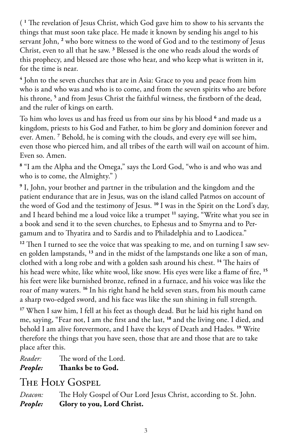( **1** The revelation of Jesus Christ, which God gave him to show to his servants the things that must soon take place. He made it known by sending his angel to his servant John, **<sup>2</sup>** who bore witness to the word of God and to the testimony of Jesus Christ, even to all that he saw. **<sup>3</sup>** Blessed is the one who reads aloud the words of this prophecy, and blessed are those who hear, and who keep what is written in it, for the time is near.

**4** John to the seven churches that are in Asia: Grace to you and peace from him who is and who was and who is to come, and from the seven spirits who are before his throne, **<sup>5</sup>** and from Jesus Christ the faithful witness, the firstborn of the dead, and the ruler of kings on earth.

To him who loves us and has freed us from our sins by his blood <sup>6</sup> and made us a kingdom, priests to his God and Father, to him be glory and dominion forever and ever. Amen. **<sup>7</sup>** Behold, he is coming with the clouds, and every eye will see him, even those who pierced him, and all tribes of the earth will wail on account of him. Even so. Amen.

**8** "I am the Alpha and the Omega," says the Lord God, "who is and who was and who is to come, the Almighty." )

**9** I, John, your brother and partner in the tribulation and the kingdom and the patient endurance that are in Jesus, was on the island called Patmos on account of the word of God and the testimony of Jesus. **<sup>10</sup>** I was in the Spirit on the Lord's day, and I heard behind me a loud voice like a trumpet **<sup>11</sup>** saying, "Write what you see in a book and send it to the seven churches, to Ephesus and to Smyrna and to Pergamum and to Thyatira and to Sardis and to Philadelphia and to Laodicea."

<sup>12</sup> Then I turned to see the voice that was speaking to me, and on turning I saw seven golden lampstands, **<sup>13</sup>** and in the midst of the lampstands one like a son of man, clothed with a long robe and with a golden sash around his chest. **<sup>14</sup>** The hairs of his head were white, like white wool, like snow. His eyes were like a flame of fire, **<sup>15</sup>** his feet were like burnished bronze, refined in a furnace, and his voice was like the roar of many waters. **<sup>16</sup>** In his right hand he held seven stars, from his mouth came a sharp two-edged sword, and his face was like the sun shining in full strength.

**<sup>17</sup>** When I saw him, I fell at his feet as though dead. But he laid his right hand on me, saying, "Fear not, I am the first and the last, **<sup>18</sup>** and the living one. I died, and behold I am alive forevermore, and I have the keys of Death and Hades. **<sup>19</sup>** Write therefore the things that you have seen, those that are and those that are to take place after this.

*Reader:* The word of the Lord.

*People:* **Thanks be to God.** 

### The Holy Gospel

*Deacon:* The Holy Gospel of Our Lord Jesus Christ, according to St. John. *People:* **Glory to you, Lord Christ.**